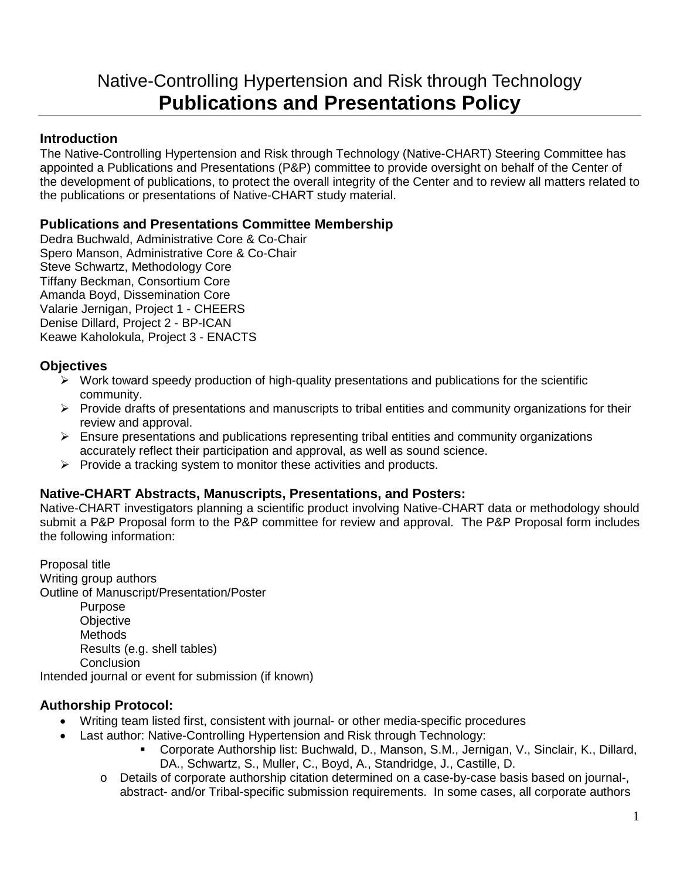# Native-Controlling Hypertension and Risk through Technology **Publications and Presentations Policy**

## **Introduction**

The Native-Controlling Hypertension and Risk through Technology (Native-CHART) Steering Committee has appointed a Publications and Presentations (P&P) committee to provide oversight on behalf of the Center of the development of publications, to protect the overall integrity of the Center and to review all matters related to the publications or presentations of Native-CHART study material.

### **Publications and Presentations Committee Membership**

Dedra Buchwald, Administrative Core & Co-Chair Spero Manson, Administrative Core & Co-Chair Steve Schwartz, Methodology Core Tiffany Beckman, Consortium Core Amanda Boyd, Dissemination Core Valarie Jernigan, Project 1 - CHEERS Denise Dillard, Project 2 - BP-ICAN Keawe Kaholokula, Project 3 - ENACTS

## **Objectives**

- $\triangleright$  Work toward speedy production of high-quality presentations and publications for the scientific community.
- $\triangleright$  Provide drafts of presentations and manuscripts to tribal entities and community organizations for their review and approval.
- $\triangleright$  Ensure presentations and publications representing tribal entities and community organizations accurately reflect their participation and approval, as well as sound science.
- $\triangleright$  Provide a tracking system to monitor these activities and products.

### **Native-CHART Abstracts, Manuscripts, Presentations, and Posters:**

Native-CHART investigators planning a scientific product involving Native-CHART data or methodology should submit a P&P Proposal form to the P&P committee for review and approval. The P&P Proposal form includes the following information:

Proposal title Writing group authors Outline of Manuscript/Presentation/Poster Purpose **Objective Methods** Results (e.g. shell tables) **Conclusion** 

Intended journal or event for submission (if known)

# **Authorship Protocol:**

- Writing team listed first, consistent with journal- or other media-specific procedures
- Last author: Native-Controlling Hypertension and Risk through Technology:
	- Corporate Authorship list: Buchwald, D., Manson, S.M., Jernigan, V., Sinclair, K., Dillard, DA., Schwartz, S., Muller, C., Boyd, A., Standridge, J., Castille, D.
	- o Details of corporate authorship citation determined on a case-by-case basis based on journal-, abstract- and/or Tribal-specific submission requirements. In some cases, all corporate authors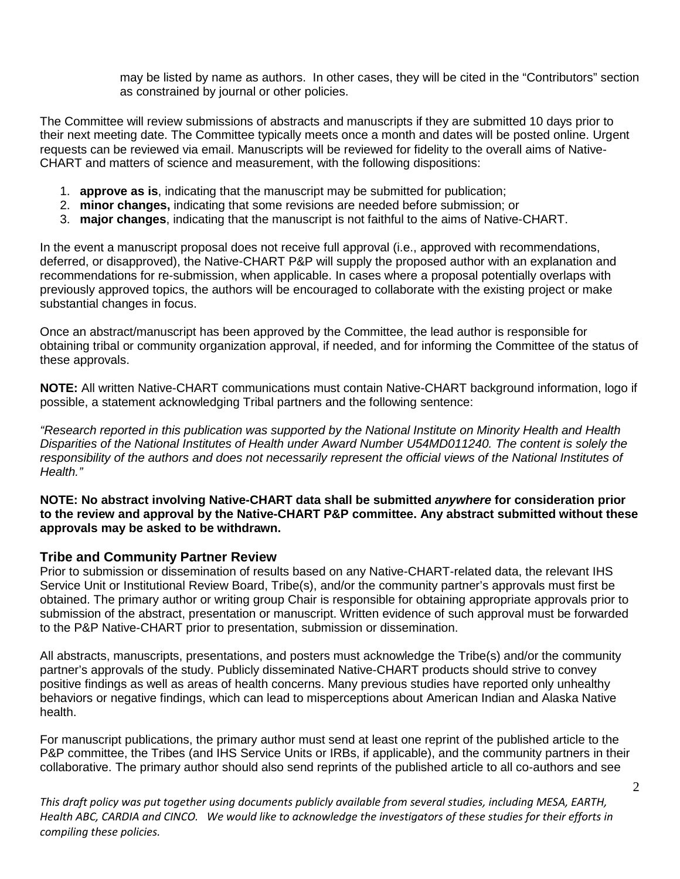may be listed by name as authors. In other cases, they will be cited in the "Contributors" section as constrained by journal or other policies.

The Committee will review submissions of abstracts and manuscripts if they are submitted 10 days prior to their next meeting date. The Committee typically meets once a month and dates will be posted online. Urgent requests can be reviewed via email. Manuscripts will be reviewed for fidelity to the overall aims of Native-CHART and matters of science and measurement, with the following dispositions:

- 1. **approve as is**, indicating that the manuscript may be submitted for publication;
- 2. **minor changes,** indicating that some revisions are needed before submission; or
- 3. **major changes**, indicating that the manuscript is not faithful to the aims of Native-CHART.

In the event a manuscript proposal does not receive full approval (i.e., approved with recommendations, deferred, or disapproved), the Native-CHART P&P will supply the proposed author with an explanation and recommendations for re-submission, when applicable. In cases where a proposal potentially overlaps with previously approved topics, the authors will be encouraged to collaborate with the existing project or make substantial changes in focus.

Once an abstract/manuscript has been approved by the Committee, the lead author is responsible for obtaining tribal or community organization approval, if needed, and for informing the Committee of the status of these approvals.

**NOTE:** All written Native-CHART communications must contain Native-CHART background information, logo if possible, a statement acknowledging Tribal partners and the following sentence:

*"Research reported in this publication was supported by the National Institute on Minority Health and Health Disparities of the National Institutes of Health under Award Number U54MD011240. The content is solely the responsibility of the authors and does not necessarily represent the official views of the National Institutes of Health."*

**NOTE: No abstract involving Native-CHART data shall be submitted** *anywhere* **for consideration prior to the review and approval by the Native-CHART P&P committee. Any abstract submitted without these approvals may be asked to be withdrawn.** 

#### **Tribe and Community Partner Review**

Prior to submission or dissemination of results based on any Native-CHART-related data, the relevant IHS Service Unit or Institutional Review Board, Tribe(s), and/or the community partner's approvals must first be obtained. The primary author or writing group Chair is responsible for obtaining appropriate approvals prior to submission of the abstract, presentation or manuscript. Written evidence of such approval must be forwarded to the P&P Native-CHART prior to presentation, submission or dissemination.

All abstracts, manuscripts, presentations, and posters must acknowledge the Tribe(s) and/or the community partner's approvals of the study. Publicly disseminated Native-CHART products should strive to convey positive findings as well as areas of health concerns. Many previous studies have reported only unhealthy behaviors or negative findings, which can lead to misperceptions about American Indian and Alaska Native health.

For manuscript publications, the primary author must send at least one reprint of the published article to the P&P committee, the Tribes (and IHS Service Units or IRBs, if applicable), and the community partners in their collaborative. The primary author should also send reprints of the published article to all co-authors and see

*This draft policy was put together using documents publicly available from several studies, including MESA, EARTH, Health ABC, CARDIA and CINCO. We would like to acknowledge the investigators of these studies for their efforts in compiling these policies.*